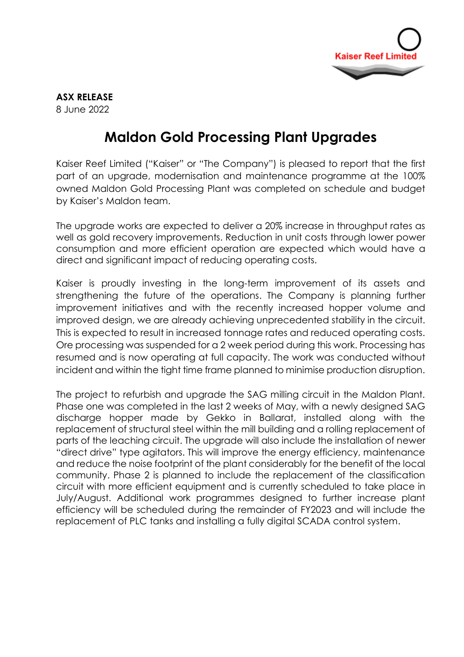

## **ASX RELEASE** 8 June 2022

## **Maldon Gold Processing Plant Upgrades**

Kaiser Reef Limited ("Kaiser" or "The Company") is pleased to report that the first part of an upgrade, modernisation and maintenance programme at the 100% owned Maldon Gold Processing Plant was completed on schedule and budget by Kaiser's Maldon team.

The upgrade works are expected to deliver a 20% increase in throughput rates as well as gold recovery improvements. Reduction in unit costs through lower power consumption and more efficient operation are expected which would have a direct and significant impact of reducing operating costs.

Kaiser is proudly investing in the long-term improvement of its assets and strengthening the future of the operations. The Company is planning further improvement initiatives and with the recently increased hopper volume and improved design, we are already achieving unprecedented stability in the circuit. This is expected to result in increased tonnage rates and reduced operating costs. Ore processing was suspended for a 2 week period during this work. Processing has resumed and is now operating at full capacity. The work was conducted without incident and within the tight time frame planned to minimise production disruption.

The project to refurbish and upgrade the SAG milling circuit in the Maldon Plant. Phase one was completed in the last 2 weeks of May, with a newly designed SAG discharge hopper made by Gekko in Ballarat, installed along with the replacement of structural steel within the mill building and a rolling replacement of parts of the leaching circuit. The upgrade will also include the installation of newer "direct drive" type agitators. This will improve the energy efficiency, maintenance and reduce the noise footprint of the plant considerably for the benefit of the local community. Phase 2 is planned to include the replacement of the classification circuit with more efficient equipment and is currently scheduled to take place in July/August. Additional work programmes designed to further increase plant efficiency will be scheduled during the remainder of FY2023 and will include the replacement of PLC tanks and installing a fully digital SCADA control system.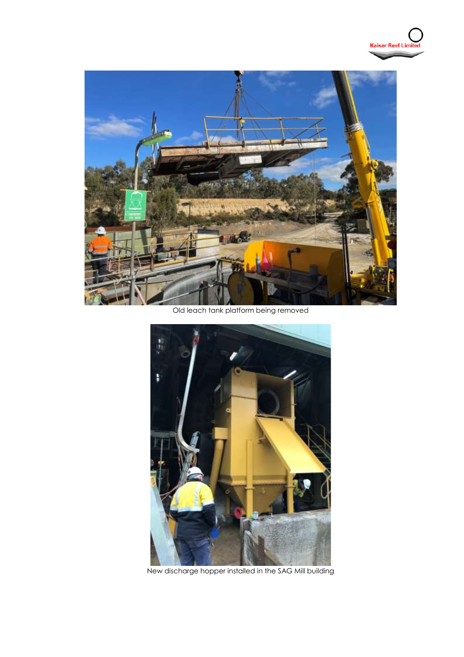

Old leach tank platform being removed



New discharge hopper installed in the SAG Mill building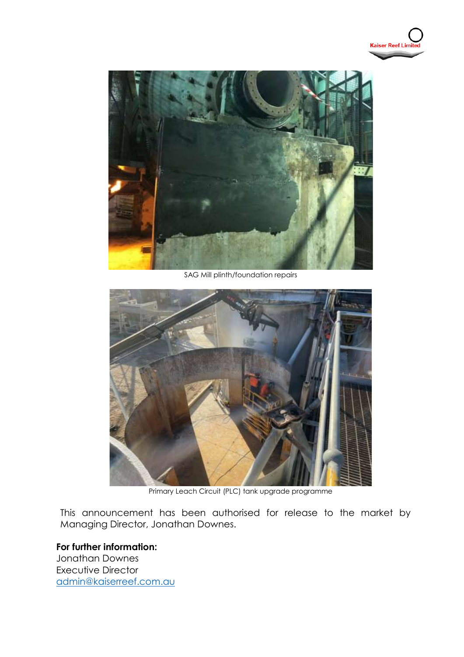



SAG Mill plinth/foundation repairs



Primary Leach Circuit (PLC) tank upgrade programme

This announcement has been authorised for release to the market by Managing Director, Jonathan Downes.

**For further information:** Jonathan Downes

Executive Director [admin@kaiserreef.com.au](mailto:admin@kaiserreef.com.au)